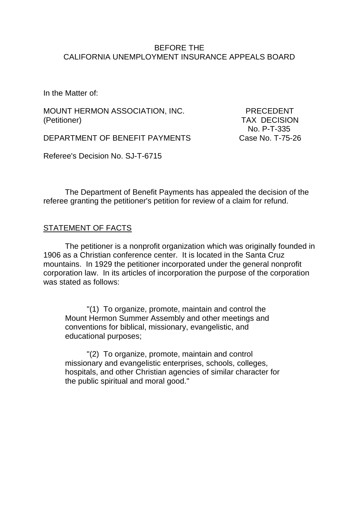### BEFORE THE CALIFORNIA UNEMPLOYMENT INSURANCE APPEALS BOARD

In the Matter of:

MOUNT HERMON ASSOCIATION, INC. PRECEDENT (Petitioner) TAX DECISION

DEPARTMENT OF BENEFIT PAYMENTS Case No. T-75-26

No. P-T-335

Referee's Decision No. SJ-T-6715

The Department of Benefit Payments has appealed the decision of the referee granting the petitioner's petition for review of a claim for refund.

## **STATEMENT OF FACTS**

The petitioner is a nonprofit organization which was originally founded in 1906 as a Christian conference center. It is located in the Santa Cruz mountains. In 1929 the petitioner incorporated under the general nonprofit corporation law. In its articles of incorporation the purpose of the corporation was stated as follows:

"(1) To organize, promote, maintain and control the Mount Hermon Summer Assembly and other meetings and conventions for biblical, missionary, evangelistic, and educational purposes;

"(2) To organize, promote, maintain and control missionary and evangelistic enterprises, schools, colleges, hospitals, and other Christian agencies of similar character for the public spiritual and moral good."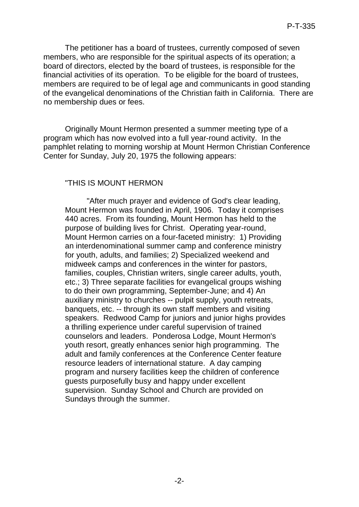The petitioner has a board of trustees, currently composed of seven members, who are responsible for the spiritual aspects of its operation; a board of directors, elected by the board of trustees, is responsible for the financial activities of its operation. To be eligible for the board of trustees, members are required to be of legal age and communicants in good standing of the evangelical denominations of the Christian faith in California. There are no membership dues or fees.

Originally Mount Hermon presented a summer meeting type of a program which has now evolved into a full year-round activity. In the pamphlet relating to morning worship at Mount Hermon Christian Conference Center for Sunday, July 20, 1975 the following appears:

### "THIS IS MOUNT HERMON

"After much prayer and evidence of God's clear leading, Mount Hermon was founded in April, 1906. Today it comprises 440 acres. From its founding, Mount Hermon has held to the purpose of building lives for Christ. Operating year-round, Mount Hermon carries on a four-faceted ministry: 1) Providing an interdenominational summer camp and conference ministry for youth, adults, and families; 2) Specialized weekend and midweek camps and conferences in the winter for pastors, families, couples, Christian writers, single career adults, youth, etc.; 3) Three separate facilities for evangelical groups wishing to do their own programming, September-June; and 4) An auxiliary ministry to churches -- pulpit supply, youth retreats, banquets, etc. -- through its own staff members and visiting speakers. Redwood Camp for juniors and junior highs provides a thrilling experience under careful supervision of trained counselors and leaders. Ponderosa Lodge, Mount Hermon's youth resort, greatly enhances senior high programming. The adult and family conferences at the Conference Center feature resource leaders of international stature. A day camping program and nursery facilities keep the children of conference guests purposefully busy and happy under excellent supervision. Sunday School and Church are provided on Sundays through the summer.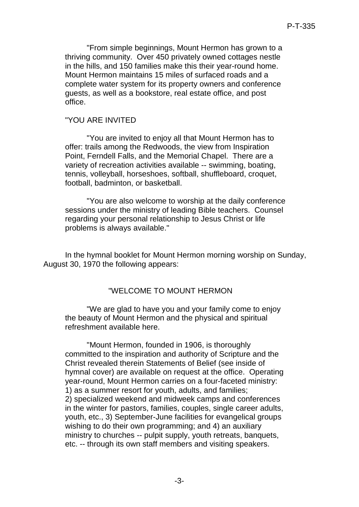"From simple beginnings, Mount Hermon has grown to a thriving community. Over 450 privately owned cottages nestle in the hills, and 150 families make this their year-round home. Mount Hermon maintains 15 miles of surfaced roads and a complete water system for its property owners and conference guests, as well as a bookstore, real estate office, and post office.

### "YOU ARE INVITED

"You are invited to enjoy all that Mount Hermon has to offer: trails among the Redwoods, the view from Inspiration Point, Ferndell Falls, and the Memorial Chapel. There are a variety of recreation activities available -- swimming, boating, tennis, volleyball, horseshoes, softball, shuffleboard, croquet, football, badminton, or basketball.

"You are also welcome to worship at the daily conference sessions under the ministry of leading Bible teachers. Counsel regarding your personal relationship to Jesus Christ or life problems is always available."

In the hymnal booklet for Mount Hermon morning worship on Sunday, August 30, 1970 the following appears:

#### "WELCOME TO MOUNT HERMON

"We are glad to have you and your family come to enjoy the beauty of Mount Hermon and the physical and spiritual refreshment available here.

"Mount Hermon, founded in 1906, is thoroughly committed to the inspiration and authority of Scripture and the Christ revealed therein Statements of Belief (see inside of hymnal cover) are available on request at the office. Operating year-round, Mount Hermon carries on a four-faceted ministry: 1) as a summer resort for youth, adults, and families; 2) specialized weekend and midweek camps and conferences in the winter for pastors, families, couples, single career adults, youth, etc., 3) September-June facilities for evangelical groups wishing to do their own programming; and 4) an auxiliary ministry to churches -- pulpit supply, youth retreats, banquets, etc. -- through its own staff members and visiting speakers.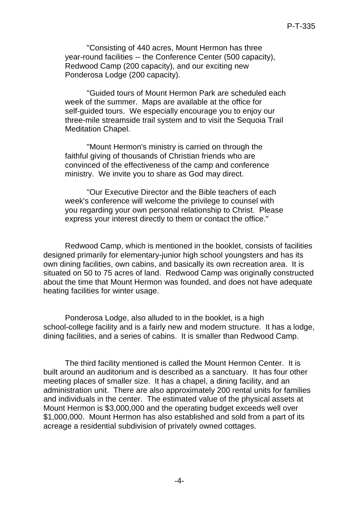"Consisting of 440 acres, Mount Hermon has three year-round facilities -- the Conference Center (500 capacity), Redwood Camp (200 capacity), and our exciting new Ponderosa Lodge (200 capacity).

"Guided tours of Mount Hermon Park are scheduled each week of the summer. Maps are available at the office for self-guided tours. We especially encourage you to enjoy our three-mile streamside trail system and to visit the Sequoia Trail Meditation Chapel.

"Mount Hermon's ministry is carried on through the faithful giving of thousands of Christian friends who are convinced of the effectiveness of the camp and conference ministry. We invite you to share as God may direct.

"Our Executive Director and the Bible teachers of each week's conference will welcome the privilege to counsel with you regarding your own personal relationship to Christ. Please express your interest directly to them or contact the office."

Redwood Camp, which is mentioned in the booklet, consists of facilities designed primarily for elementary-junior high school youngsters and has its own dining facilities, own cabins, and basically its own recreation area. It is situated on 50 to 75 acres of land. Redwood Camp was originally constructed about the time that Mount Hermon was founded, and does not have adequate heating facilities for winter usage.

Ponderosa Lodge, also alluded to in the booklet, is a high school-college facility and is a fairly new and modern structure. It has a lodge, dining facilities, and a series of cabins. It is smaller than Redwood Camp.

The third facility mentioned is called the Mount Hermon Center. It is built around an auditorium and is described as a sanctuary. It has four other meeting places of smaller size. It has a chapel, a dining facility, and an administration unit. There are also approximately 200 rental units for families and individuals in the center. The estimated value of the physical assets at Mount Hermon is \$3,000,000 and the operating budget exceeds well over \$1,000,000. Mount Hermon has also established and sold from a part of its acreage a residential subdivision of privately owned cottages.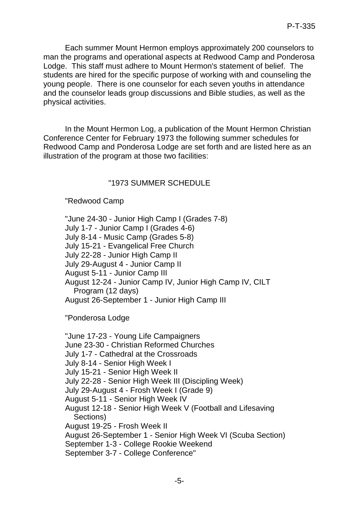Each summer Mount Hermon employs approximately 200 counselors to man the programs and operational aspects at Redwood Camp and Ponderosa Lodge. This staff must adhere to Mount Hermon's statement of belief. The students are hired for the specific purpose of working with and counseling the young people. There is one counselor for each seven youths in attendance and the counselor leads group discussions and Bible studies, as well as the physical activities.

In the Mount Hermon Log, a publication of the Mount Hermon Christian Conference Center for February 1973 the following summer schedules for Redwood Camp and Ponderosa Lodge are set forth and are listed here as an illustration of the program at those two facilities:

## "1973 SUMMER SCHEDULE

### "Redwood Camp

"June 24-30 - Junior High Camp I (Grades 7-8) July 1-7 - Junior Camp I (Grades 4-6) July 8-14 - Music Camp (Grades 5-8) July 15-21 - Evangelical Free Church July 22-28 - Junior High Camp II July 29-August 4 - Junior Camp II August 5-11 - Junior Camp III August 12-24 - Junior Camp IV, Junior High Camp IV, CILT Program (12 days) August 26-September 1 - Junior High Camp III

"Ponderosa Lodge

"June 17-23 - Young Life Campaigners June 23-30 - Christian Reformed Churches July 1-7 - Cathedral at the Crossroads July 8-14 - Senior High Week I July 15-21 - Senior High Week II July 22-28 - Senior High Week III (Discipling Week) July 29-August 4 - Frosh Week I (Grade 9) August 5-11 - Senior High Week IV August 12-18 - Senior High Week V (Football and Lifesaving Sections) August 19-25 - Frosh Week II August 26-September 1 - Senior High Week VI (Scuba Section) September 1-3 - College Rookie Weekend September 3-7 - College Conference"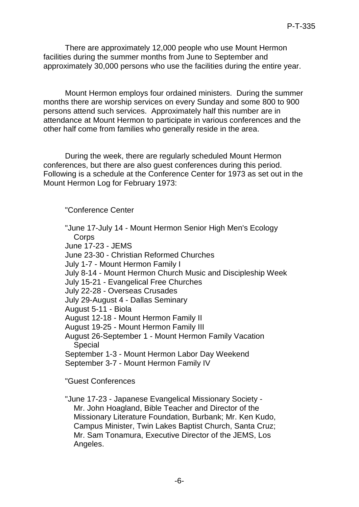There are approximately 12,000 people who use Mount Hermon facilities during the summer months from June to September and approximately 30,000 persons who use the facilities during the entire year.

Mount Hermon employs four ordained ministers. During the summer months there are worship services on every Sunday and some 800 to 900 persons attend such services. Approximately half this number are in attendance at Mount Hermon to participate in various conferences and the other half come from families who generally reside in the area.

During the week, there are regularly scheduled Mount Hermon conferences, but there are also guest conferences during this period. Following is a schedule at the Conference Center for 1973 as set out in the Mount Hermon Log for February 1973:

"Conference Center

"June 17-July 14 - Mount Hermon Senior High Men's Ecology **Corps** June 17-23 - JEMS June 23-30 - Christian Reformed Churches July 1-7 - Mount Hermon Family I July 8-14 - Mount Hermon Church Music and Discipleship Week July 15-21 - Evangelical Free Churches July 22-28 - Overseas Crusades July 29-August 4 - Dallas Seminary August 5-11 - Biola August 12-18 - Mount Hermon Family II August 19-25 - Mount Hermon Family III August 26-September 1 - Mount Hermon Family Vacation Special September 1-3 - Mount Hermon Labor Day Weekend September 3-7 - Mount Hermon Family IV

"Guest Conferences

"June 17-23 - Japanese Evangelical Missionary Society - Mr. John Hoagland, Bible Teacher and Director of the Missionary Literature Foundation, Burbank; Mr. Ken Kudo, Campus Minister, Twin Lakes Baptist Church, Santa Cruz; Mr. Sam Tonamura, Executive Director of the JEMS, Los Angeles.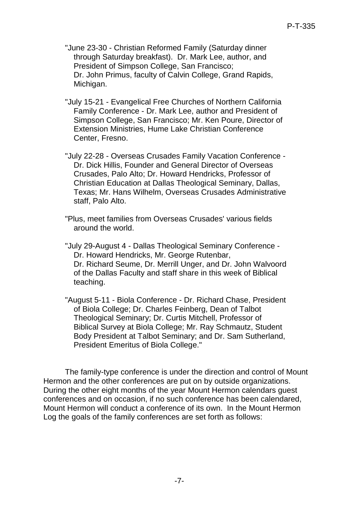- "June 23-30 Christian Reformed Family (Saturday dinner through Saturday breakfast). Dr. Mark Lee, author, and President of Simpson College, San Francisco; Dr. John Primus, faculty of Calvin College, Grand Rapids, Michigan.
- "July 15-21 Evangelical Free Churches of Northern California Family Conference - Dr. Mark Lee, author and President of Simpson College, San Francisco; Mr. Ken Poure, Director of Extension Ministries, Hume Lake Christian Conference Center, Fresno.
- "July 22-28 Overseas Crusades Family Vacation Conference Dr. Dick Hillis, Founder and General Director of Overseas Crusades, Palo Alto; Dr. Howard Hendricks, Professor of Christian Education at Dallas Theological Seminary, Dallas, Texas; Mr. Hans Wilhelm, Overseas Crusades Administrative staff, Palo Alto.
- "Plus, meet families from Overseas Crusades' various fields around the world.
- "July 29-August 4 Dallas Theological Seminary Conference Dr. Howard Hendricks, Mr. George Rutenbar, Dr. Richard Seume, Dr. Merrill Unger, and Dr. John Walvoord of the Dallas Faculty and staff share in this week of Biblical teaching.
- "August 5-11 Biola Conference Dr. Richard Chase, President of Biola College; Dr. Charles Feinberg, Dean of Talbot Theological Seminary; Dr. Curtis Mitchell, Professor of Biblical Survey at Biola College; Mr. Ray Schmautz, Student Body President at Talbot Seminary; and Dr. Sam Sutherland, President Emeritus of Biola College."

The family-type conference is under the direction and control of Mount Hermon and the other conferences are put on by outside organizations. During the other eight months of the year Mount Hermon calendars guest conferences and on occasion, if no such conference has been calendared, Mount Hermon will conduct a conference of its own. In the Mount Hermon Log the goals of the family conferences are set forth as follows: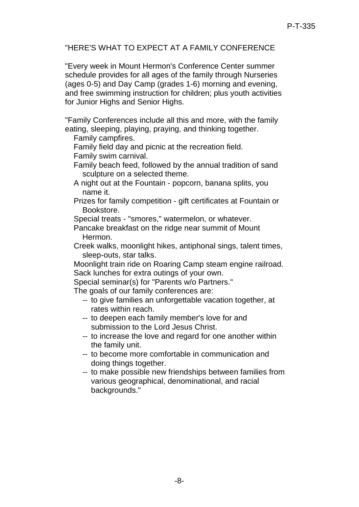# "HERE'S WHAT TO EXPECT AT A FAMILY CONFERENCE

"Every week in Mount Hermon's Conference Center summer schedule provides for all ages of the family through Nurseries (ages 0-5) and Day Camp (grades 1-6) morning and evening, and free swimming instruction for children; plus youth activities for Junior Highs and Senior Highs.

"Family Conferences include all this and more, with the family eating, sleeping, playing, praying, and thinking together.

Family campfires.

Family field day and picnic at the recreation field.

Family swim carnival.

Family beach feed, followed by the annual tradition of sand sculpture on a selected theme.

- A night out at the Fountain popcorn, banana splits, you name it.
- Prizes for family competition gift certificates at Fountain or Bookstore.

Special treats - "smores," watermelon, or whatever.

Pancake breakfast on the ridge near summit of Mount Hermon.

Creek walks, moonlight hikes, antiphonal sings, talent times, sleep-outs, star talks.

Moonlight train ride on Roaring Camp steam engine railroad. Sack lunches for extra outings of your own.

Special seminar(s) for "Parents w/o Partners."

The goals of our family conferences are:

- -- to give families an unforgettable vacation together, at rates within reach.
- -- to deepen each family member's love for and submission to the Lord Jesus Christ.
- -- to increase the love and regard for one another within the family unit.
- -- to become more comfortable in communication and doing things together.
- -- to make possible new friendships between families from various geographical, denominational, and racial backgrounds."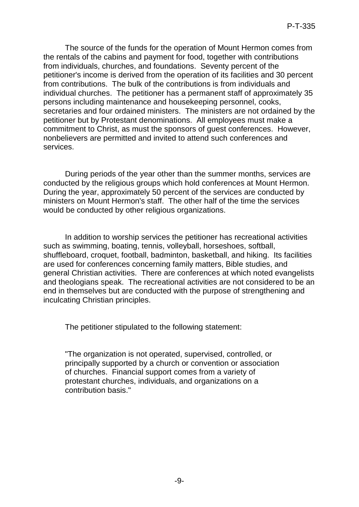The source of the funds for the operation of Mount Hermon comes from the rentals of the cabins and payment for food, together with contributions from individuals, churches, and foundations. Seventy percent of the petitioner's income is derived from the operation of its facilities and 30 percent from contributions. The bulk of the contributions is from individuals and individual churches. The petitioner has a permanent staff of approximately 35 persons including maintenance and housekeeping personnel, cooks, secretaries and four ordained ministers. The ministers are not ordained by the petitioner but by Protestant denominations. All employees must make a commitment to Christ, as must the sponsors of guest conferences. However, nonbelievers are permitted and invited to attend such conferences and services.

During periods of the year other than the summer months, services are conducted by the religious groups which hold conferences at Mount Hermon. During the year, approximately 50 percent of the services are conducted by ministers on Mount Hermon's staff. The other half of the time the services would be conducted by other religious organizations.

In addition to worship services the petitioner has recreational activities such as swimming, boating, tennis, volleyball, horseshoes, softball, shuffleboard, croquet, football, badminton, basketball, and hiking. Its facilities are used for conferences concerning family matters, Bible studies, and general Christian activities. There are conferences at which noted evangelists and theologians speak. The recreational activities are not considered to be an end in themselves but are conducted with the purpose of strengthening and inculcating Christian principles.

The petitioner stipulated to the following statement:

"The organization is not operated, supervised, controlled, or principally supported by a church or convention or association of churches. Financial support comes from a variety of protestant churches, individuals, and organizations on a contribution basis."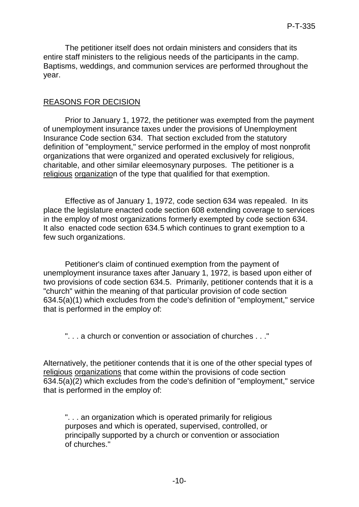The petitioner itself does not ordain ministers and considers that its entire staff ministers to the religious needs of the participants in the camp. Baptisms, weddings, and communion services are performed throughout the year.

# REASONS FOR DECISION

Prior to January 1, 1972, the petitioner was exempted from the payment of unemployment insurance taxes under the provisions of Unemployment Insurance Code section 634. That section excluded from the statutory definition of "employment," service performed in the employ of most nonprofit organizations that were organized and operated exclusively for religious, charitable, and other similar eleemosynary purposes. The petitioner is a religious organization of the type that qualified for that exemption.

Effective as of January 1, 1972, code section 634 was repealed. In its place the legislature enacted code section 608 extending coverage to services in the employ of most organizations formerly exempted by code section 634. It also enacted code section 634.5 which continues to grant exemption to a few such organizations.

Petitioner's claim of continued exemption from the payment of unemployment insurance taxes after January 1, 1972, is based upon either of two provisions of code section 634.5. Primarily, petitioner contends that it is a "church" within the meaning of that particular provision of code section 634.5(a)(1) which excludes from the code's definition of "employment," service that is performed in the employ of:

". . . a church or convention or association of churches . . ."

Alternatively, the petitioner contends that it is one of the other special types of religious organizations that come within the provisions of code section 634.5(a)(2) which excludes from the code's definition of "employment," service that is performed in the employ of:

". . . an organization which is operated primarily for religious purposes and which is operated, supervised, controlled, or principally supported by a church or convention or association of churches."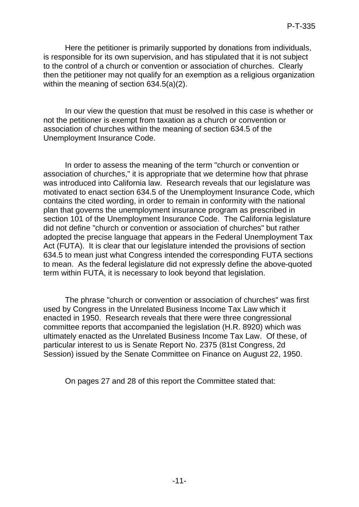Here the petitioner is primarily supported by donations from individuals, is responsible for its own supervision, and has stipulated that it is not subject to the control of a church or convention or association of churches. Clearly then the petitioner may not qualify for an exemption as a religious organization within the meaning of section 634.5(a)(2).

In our view the question that must be resolved in this case is whether or not the petitioner is exempt from taxation as a church or convention or association of churches within the meaning of section 634.5 of the Unemployment Insurance Code.

In order to assess the meaning of the term "church or convention or association of churches," it is appropriate that we determine how that phrase was introduced into California law. Research reveals that our legislature was motivated to enact section 634.5 of the Unemployment Insurance Code, which contains the cited wording, in order to remain in conformity with the national plan that governs the unemployment insurance program as prescribed in section 101 of the Unemployment Insurance Code. The California legislature did not define "church or convention or association of churches" but rather adopted the precise language that appears in the Federal Unemployment Tax Act (FUTA). It is clear that our legislature intended the provisions of section 634.5 to mean just what Congress intended the corresponding FUTA sections to mean. As the federal legislature did not expressly define the above-quoted term within FUTA, it is necessary to look beyond that legislation.

The phrase "church or convention or association of churches" was first used by Congress in the Unrelated Business Income Tax Law which it enacted in 1950. Research reveals that there were three congressional committee reports that accompanied the legislation (H.R. 8920) which was ultimately enacted as the Unrelated Business Income Tax Law. Of these, of particular interest to us is Senate Report No. 2375 (81st Congress, 2d Session) issued by the Senate Committee on Finance on August 22, 1950.

On pages 27 and 28 of this report the Committee stated that: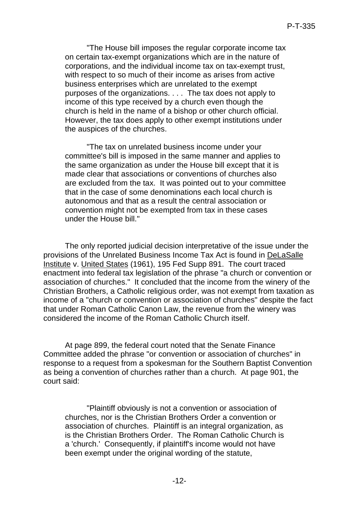"The House bill imposes the regular corporate income tax on certain tax-exempt organizations which are in the nature of corporations, and the individual income tax on tax-exempt trust, with respect to so much of their income as arises from active business enterprises which are unrelated to the exempt purposes of the organizations. . . . The tax does not apply to income of this type received by a church even though the church is held in the name of a bishop or other church official. However, the tax does apply to other exempt institutions under the auspices of the churches.

"The tax on unrelated business income under your committee's bill is imposed in the same manner and applies to the same organization as under the House bill except that it is made clear that associations or conventions of churches also are excluded from the tax. It was pointed out to your committee that in the case of some denominations each local church is autonomous and that as a result the central association or convention might not be exempted from tax in these cases under the House bill."

The only reported judicial decision interpretative of the issue under the provisions of the Unrelated Business Income Tax Act is found in DeLaSalle Institute v. United States (1961), 195 Fed Supp 891. The court traced enactment into federal tax legislation of the phrase "a church or convention or association of churches." It concluded that the income from the winery of the Christian Brothers, a Catholic religious order, was not exempt from taxation as income of a "church or convention or association of churches" despite the fact that under Roman Catholic Canon Law, the revenue from the winery was considered the income of the Roman Catholic Church itself.

At page 899, the federal court noted that the Senate Finance Committee added the phrase "or convention or association of churches" in response to a request from a spokesman for the Southern Baptist Convention as being a convention of churches rather than a church. At page 901, the court said:

"Plaintiff obviously is not a convention or association of churches, nor is the Christian Brothers Order a convention or association of churches. Plaintiff is an integral organization, as is the Christian Brothers Order. The Roman Catholic Church is a 'church.' Consequently, if plaintiff's income would not have been exempt under the original wording of the statute,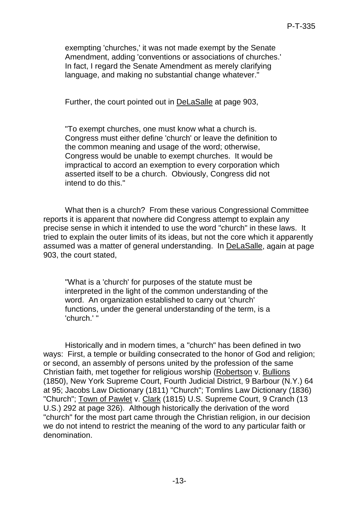exempting 'churches,' it was not made exempt by the Senate Amendment, adding 'conventions or associations of churches.' In fact, I regard the Senate Amendment as merely clarifying language, and making no substantial change whatever."

Further, the court pointed out in DeLaSalle at page 903,

"To exempt churches, one must know what a church is. Congress must either define 'church' or leave the definition to the common meaning and usage of the word; otherwise, Congress would be unable to exempt churches. It would be impractical to accord an exemption to every corporation which asserted itself to be a church. Obviously, Congress did not intend to do this."

What then is a church? From these various Congressional Committee reports it is apparent that nowhere did Congress attempt to explain any precise sense in which it intended to use the word "church" in these laws. It tried to explain the outer limits of its ideas, but not the core which it apparently assumed was a matter of general understanding. In DeLaSalle, again at page 903, the court stated,

"What is a 'church' for purposes of the statute must be interpreted in the light of the common understanding of the word. An organization established to carry out 'church' functions, under the general understanding of the term, is a 'church.' "

Historically and in modern times, a "church" has been defined in two ways: First, a temple or building consecrated to the honor of God and religion; or second, an assembly of persons united by the profession of the same Christian faith, met together for religious worship (Robertson v. Bullions (1850), New York Supreme Court, Fourth Judicial District, 9 Barbour (N.Y.) 64 at 95; Jacobs Law Dictionary (1811) "Church"; Tomlins Law Dictionary (1836) "Church"; Town of Pawlet v. Clark (1815) U.S. Supreme Court, 9 Cranch (13 U.S.) 292 at page 326). Although historically the derivation of the word "church" for the most part came through the Christian religion, in our decision we do not intend to restrict the meaning of the word to any particular faith or denomination.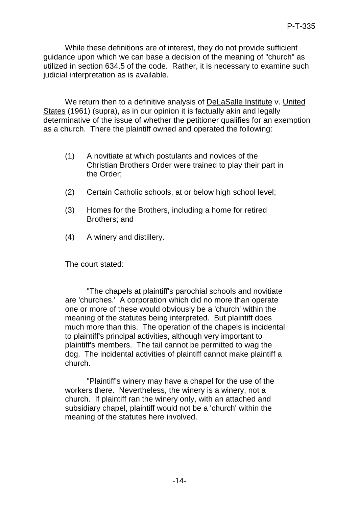While these definitions are of interest, they do not provide sufficient guidance upon which we can base a decision of the meaning of "church" as utilized in section 634.5 of the code. Rather, it is necessary to examine such judicial interpretation as is available.

We return then to a definitive analysis of DeLaSalle Institute v. United States (1961) (supra), as in our opinion it is factually akin and legally determinative of the issue of whether the petitioner qualifies for an exemption as a church. There the plaintiff owned and operated the following:

- (1) A novitiate at which postulants and novices of the Christian Brothers Order were trained to play their part in the Order;
- (2) Certain Catholic schools, at or below high school level;
- (3) Homes for the Brothers, including a home for retired Brothers; and
- (4) A winery and distillery.

The court stated:

"The chapels at plaintiff's parochial schools and novitiate are 'churches.' A corporation which did no more than operate one or more of these would obviously be a 'church' within the meaning of the statutes being interpreted. But plaintiff does much more than this. The operation of the chapels is incidental to plaintiff's principal activities, although very important to plaintiff's members. The tail cannot be permitted to wag the dog. The incidental activities of plaintiff cannot make plaintiff a church.

"Plaintiff's winery may have a chapel for the use of the workers there. Nevertheless, the winery is a winery, not a church. If plaintiff ran the winery only, with an attached and subsidiary chapel, plaintiff would not be a 'church' within the meaning of the statutes here involved.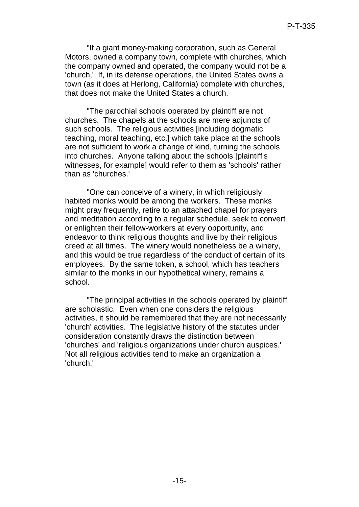"If a giant money-making corporation, such as General Motors, owned a company town, complete with churches, which the company owned and operated, the company would not be a 'church,' If, in its defense operations, the United States owns a town (as it does at Herlong, California) complete with churches, that does not make the United States a church.

"The parochial schools operated by plaintiff are not churches. The chapels at the schools are mere adjuncts of such schools. The religious activities [including dogmatic teaching, moral teaching, etc.] which take place at the schools are not sufficient to work a change of kind, turning the schools into churches. Anyone talking about the schools [plaintiff's witnesses, for example] would refer to them as 'schools' rather than as 'churches.'

"One can conceive of a winery, in which religiously habited monks would be among the workers. These monks might pray frequently, retire to an attached chapel for prayers and meditation according to a regular schedule, seek to convert or enlighten their fellow-workers at every opportunity, and endeavor to think religious thoughts and live by their religious creed at all times. The winery would nonetheless be a winery, and this would be true regardless of the conduct of certain of its employees. By the same token, a school, which has teachers similar to the monks in our hypothetical winery, remains a school.

"The principal activities in the schools operated by plaintiff are scholastic. Even when one considers the religious activities, it should be remembered that they are not necessarily 'church' activities. The legislative history of the statutes under consideration constantly draws the distinction between 'churches' and 'religious organizations under church auspices.' Not all religious activities tend to make an organization a 'church.'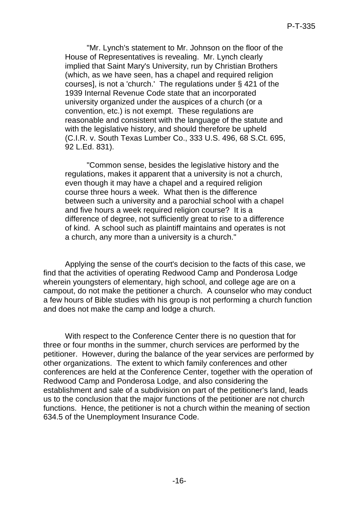"Mr. Lynch's statement to Mr. Johnson on the floor of the House of Representatives is revealing. Mr. Lynch clearly implied that Saint Mary's University, run by Christian Brothers (which, as we have seen, has a chapel and required religion courses], is not a 'church.' The regulations under § 421 of the 1939 Internal Revenue Code state that an incorporated university organized under the auspices of a church (or a convention, etc.) is not exempt. These regulations are reasonable and consistent with the language of the statute and with the legislative history, and should therefore be upheld (C.I.R. v. South Texas Lumber Co., 333 U.S. 496, 68 S.Ct. 695, 92 L.Ed. 831).

"Common sense, besides the legislative history and the regulations, makes it apparent that a university is not a church, even though it may have a chapel and a required religion course three hours a week. What then is the difference between such a university and a parochial school with a chapel and five hours a week required religion course? It is a difference of degree, not sufficiently great to rise to a difference of kind. A school such as plaintiff maintains and operates is not a church, any more than a university is a church."

Applying the sense of the court's decision to the facts of this case, we find that the activities of operating Redwood Camp and Ponderosa Lodge wherein youngsters of elementary, high school, and college age are on a campout, do not make the petitioner a church. A counselor who may conduct a few hours of Bible studies with his group is not performing a church function and does not make the camp and lodge a church.

With respect to the Conference Center there is no question that for three or four months in the summer, church services are performed by the petitioner. However, during the balance of the year services are performed by other organizations. The extent to which family conferences and other conferences are held at the Conference Center, together with the operation of Redwood Camp and Ponderosa Lodge, and also considering the establishment and sale of a subdivision on part of the petitioner's land, leads us to the conclusion that the major functions of the petitioner are not church functions. Hence, the petitioner is not a church within the meaning of section 634.5 of the Unemployment Insurance Code.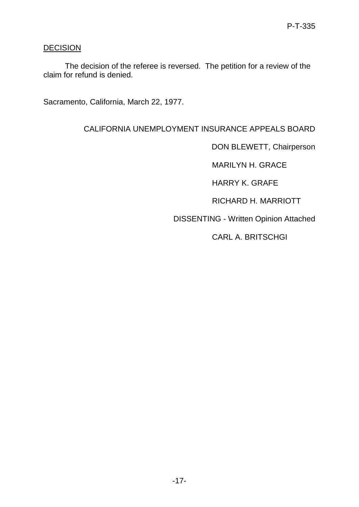# **DECISION**

The decision of the referee is reversed. The petition for a review of the claim for refund is denied.

Sacramento, California, March 22, 1977.

CALIFORNIA UNEMPLOYMENT INSURANCE APPEALS BOARD

DON BLEWETT, Chairperson

MARILYN H. GRACE

HARRY K. GRAFE

RICHARD H. MARRIOTT

DISSENTING - Written Opinion Attached

CARL A. BRITSCHGI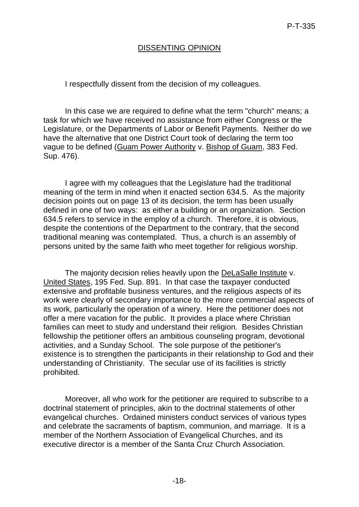# DISSENTING OPINION

I respectfully dissent from the decision of my colleagues.

In this case we are required to define what the term "church" means; a task for which we have received no assistance from either Congress or the Legislature, or the Departments of Labor or Benefit Payments. Neither do we have the alternative that one District Court took of declaring the term too vague to be defined (Guam Power Authority v. Bishop of Guam, 383 Fed. Sup. 476).

I agree with my colleagues that the Legislature had the traditional meaning of the term in mind when it enacted section 634.5. As the majority decision points out on page 13 of its decision, the term has been usually defined in one of two ways: as either a building or an organization. Section 634.5 refers to service in the employ of a church. Therefore, it is obvious, despite the contentions of the Department to the contrary, that the second traditional meaning was contemplated. Thus, a church is an assembly of persons united by the same faith who meet together for religious worship.

The majority decision relies heavily upon the DeLaSalle Institute v. United States, 195 Fed. Sup. 891. In that case the taxpayer conducted extensive and profitable business ventures, and the religious aspects of its work were clearly of secondary importance to the more commercial aspects of its work, particularly the operation of a winery. Here the petitioner does not offer a mere vacation for the public. It provides a place where Christian families can meet to study and understand their religion. Besides Christian fellowship the petitioner offers an ambitious counseling program, devotional activities, and a Sunday School. The sole purpose of the petitioner's existence is to strengthen the participants in their relationship to God and their understanding of Christianity. The secular use of its facilities is strictly prohibited.

Moreover, all who work for the petitioner are required to subscribe to a doctrinal statement of principles, akin to the doctrinal statements of other evangelical churches. Ordained ministers conduct services of various types and celebrate the sacraments of baptism, communion, and marriage. It is a member of the Northern Association of Evangelical Churches, and its executive director is a member of the Santa Cruz Church Association.